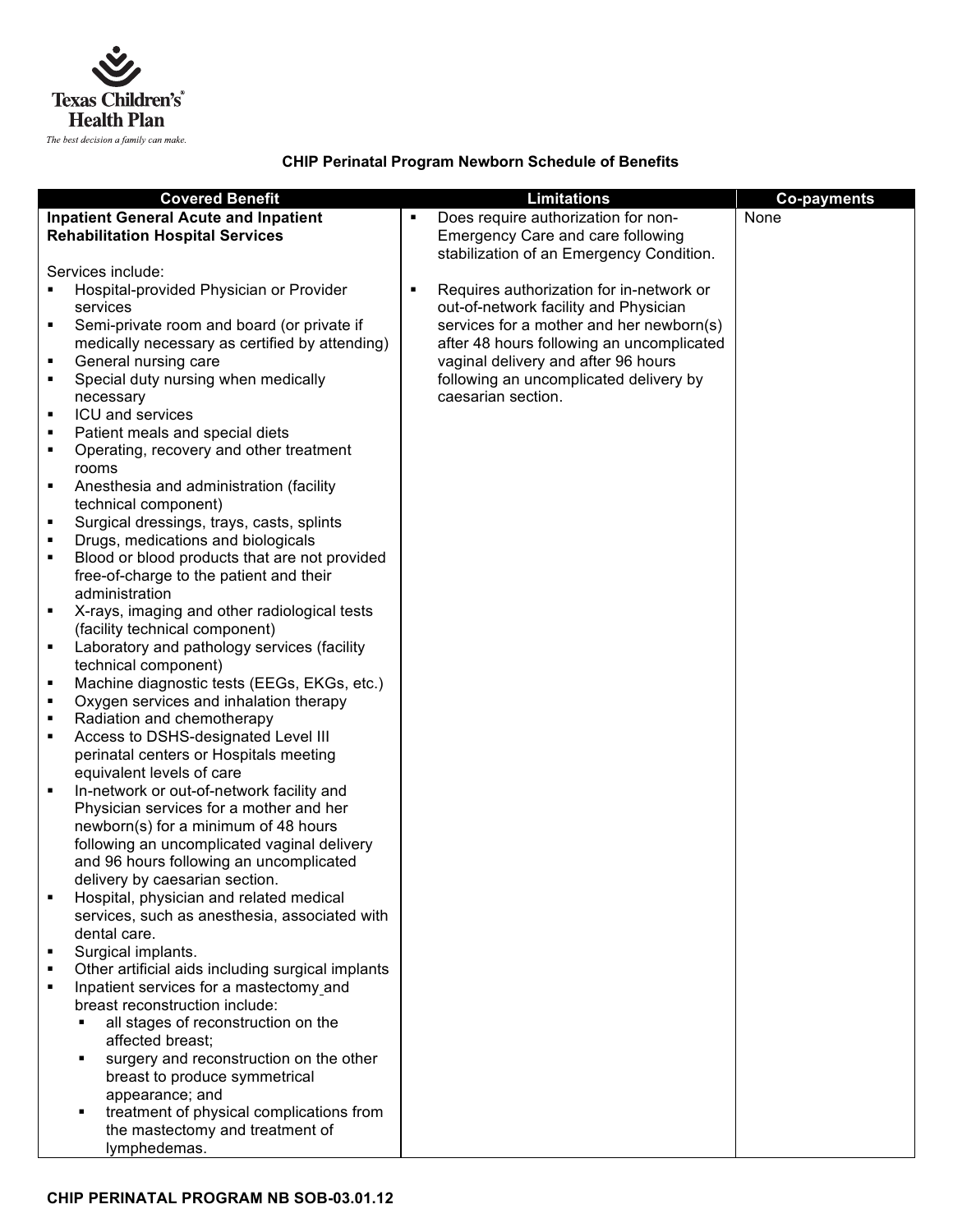

## **CHIP Perinatal Program Newborn Schedule of Benefits**

|                                              | <b>Covered Benefit</b>                                                                   |   | <b>Limitations</b>                        | <b>Co-payments</b> |
|----------------------------------------------|------------------------------------------------------------------------------------------|---|-------------------------------------------|--------------------|
| <b>Inpatient General Acute and Inpatient</b> |                                                                                          | ٠ | Does require authorization for non-       | None               |
| <b>Rehabilitation Hospital Services</b>      |                                                                                          |   | Emergency Care and care following         |                    |
|                                              |                                                                                          |   | stabilization of an Emergency Condition.  |                    |
|                                              | Services include:                                                                        |   |                                           |                    |
|                                              | Hospital-provided Physician or Provider                                                  | ٠ | Requires authorization for in-network or  |                    |
|                                              | services                                                                                 |   | out-of-network facility and Physician     |                    |
| ٠                                            | Semi-private room and board (or private if                                               |   | services for a mother and her newborn(s)  |                    |
|                                              | medically necessary as certified by attending)                                           |   | after 48 hours following an uncomplicated |                    |
| ٠                                            | General nursing care                                                                     |   | vaginal delivery and after 96 hours       |                    |
| ٠                                            | Special duty nursing when medically                                                      |   | following an uncomplicated delivery by    |                    |
|                                              | necessary                                                                                |   | caesarian section.                        |                    |
| ٠                                            | ICU and services                                                                         |   |                                           |                    |
|                                              | Patient meals and special diets                                                          |   |                                           |                    |
| ٠                                            | Operating, recovery and other treatment                                                  |   |                                           |                    |
|                                              | rooms                                                                                    |   |                                           |                    |
| ٠                                            | Anesthesia and administration (facility                                                  |   |                                           |                    |
|                                              | technical component)                                                                     |   |                                           |                    |
| ٠                                            | Surgical dressings, trays, casts, splints                                                |   |                                           |                    |
| ٠                                            | Drugs, medications and biologicals                                                       |   |                                           |                    |
| ٠                                            | Blood or blood products that are not provided<br>free-of-charge to the patient and their |   |                                           |                    |
|                                              | administration                                                                           |   |                                           |                    |
| ٠                                            | X-rays, imaging and other radiological tests                                             |   |                                           |                    |
|                                              | (facility technical component)                                                           |   |                                           |                    |
| ٠                                            | Laboratory and pathology services (facility                                              |   |                                           |                    |
|                                              | technical component)                                                                     |   |                                           |                    |
| ٠                                            | Machine diagnostic tests (EEGs, EKGs, etc.)                                              |   |                                           |                    |
| ٠                                            | Oxygen services and inhalation therapy                                                   |   |                                           |                    |
| ٠                                            | Radiation and chemotherapy                                                               |   |                                           |                    |
| ٠                                            | Access to DSHS-designated Level III                                                      |   |                                           |                    |
|                                              | perinatal centers or Hospitals meeting                                                   |   |                                           |                    |
|                                              | equivalent levels of care                                                                |   |                                           |                    |
| ٠                                            | In-network or out-of-network facility and                                                |   |                                           |                    |
|                                              | Physician services for a mother and her                                                  |   |                                           |                    |
|                                              | newborn(s) for a minimum of 48 hours                                                     |   |                                           |                    |
|                                              | following an uncomplicated vaginal delivery                                              |   |                                           |                    |
|                                              | and 96 hours following an uncomplicated<br>delivery by caesarian section.                |   |                                           |                    |
|                                              | Hospital, physician and related medical                                                  |   |                                           |                    |
|                                              | services, such as anesthesia, associated with                                            |   |                                           |                    |
|                                              | dental care.                                                                             |   |                                           |                    |
|                                              | Surgical implants.                                                                       |   |                                           |                    |
| ٠                                            | Other artificial aids including surgical implants                                        |   |                                           |                    |
| ٠                                            | Inpatient services for a mastectomy and                                                  |   |                                           |                    |
|                                              | breast reconstruction include:                                                           |   |                                           |                    |
|                                              | all stages of reconstruction on the                                                      |   |                                           |                    |
|                                              | affected breast;                                                                         |   |                                           |                    |
|                                              | surgery and reconstruction on the other<br>٠                                             |   |                                           |                    |
|                                              | breast to produce symmetrical                                                            |   |                                           |                    |
|                                              | appearance; and                                                                          |   |                                           |                    |
|                                              | treatment of physical complications from                                                 |   |                                           |                    |
|                                              | the mastectomy and treatment of                                                          |   |                                           |                    |
|                                              | lymphedemas.                                                                             |   |                                           |                    |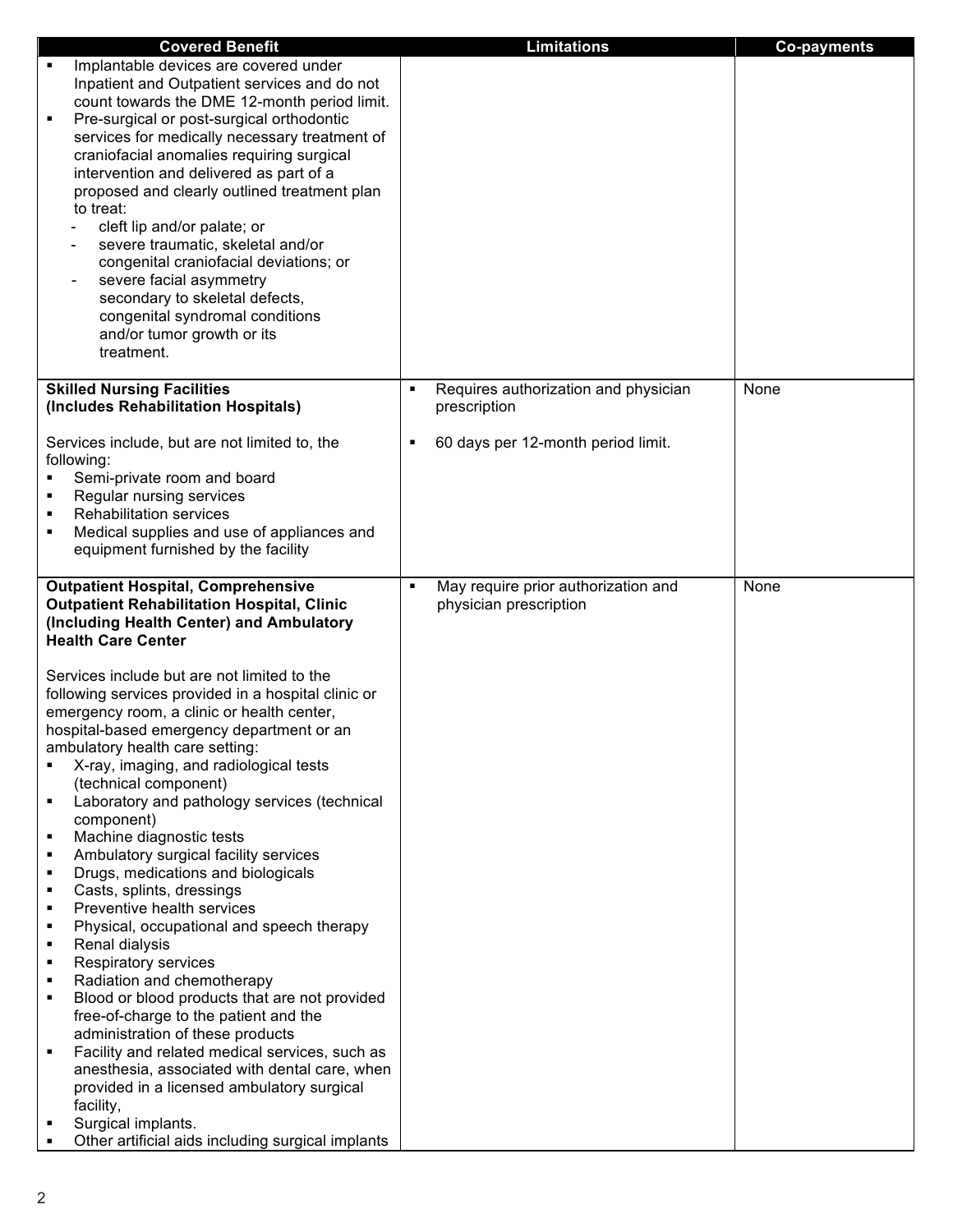| <b>Covered Benefit</b>                                     | <b>Limitations</b>                                     | <b>Co-payments</b> |
|------------------------------------------------------------|--------------------------------------------------------|--------------------|
| Implantable devices are covered under<br>٠                 |                                                        |                    |
| Inpatient and Outpatient services and do not               |                                                        |                    |
| count towards the DME 12-month period limit.               |                                                        |                    |
| Pre-surgical or post-surgical orthodontic<br>٠             |                                                        |                    |
| services for medically necessary treatment of              |                                                        |                    |
| craniofacial anomalies requiring surgical                  |                                                        |                    |
| intervention and delivered as part of a                    |                                                        |                    |
| proposed and clearly outlined treatment plan               |                                                        |                    |
| to treat:                                                  |                                                        |                    |
| cleft lip and/or palate; or                                |                                                        |                    |
| severe traumatic, skeletal and/or                          |                                                        |                    |
| congenital craniofacial deviations; or                     |                                                        |                    |
| severe facial asymmetry                                    |                                                        |                    |
| secondary to skeletal defects,                             |                                                        |                    |
| congenital syndromal conditions                            |                                                        |                    |
| and/or tumor growth or its                                 |                                                        |                    |
| treatment.                                                 |                                                        |                    |
|                                                            |                                                        |                    |
| <b>Skilled Nursing Facilities</b>                          | Requires authorization and physician<br>$\blacksquare$ | None               |
| (Includes Rehabilitation Hospitals)                        | prescription                                           |                    |
| Services include, but are not limited to, the              | 60 days per 12-month period limit.<br>٠                |                    |
| following:                                                 |                                                        |                    |
| Semi-private room and board                                |                                                        |                    |
| Regular nursing services                                   |                                                        |                    |
| <b>Rehabilitation services</b>                             |                                                        |                    |
| Medical supplies and use of appliances and<br>٠            |                                                        |                    |
| equipment furnished by the facility                        |                                                        |                    |
|                                                            |                                                        |                    |
| <b>Outpatient Hospital, Comprehensive</b>                  | May require prior authorization and<br>٠               | None               |
| <b>Outpatient Rehabilitation Hospital, Clinic</b>          | physician prescription                                 |                    |
| (Including Health Center) and Ambulatory                   |                                                        |                    |
| <b>Health Care Center</b>                                  |                                                        |                    |
|                                                            |                                                        |                    |
| Services include but are not limited to the                |                                                        |                    |
| following services provided in a hospital clinic or        |                                                        |                    |
| emergency room, a clinic or health center,                 |                                                        |                    |
| hospital-based emergency department or an                  |                                                        |                    |
| ambulatory health care setting:                            |                                                        |                    |
| X-ray, imaging, and radiological tests                     |                                                        |                    |
| (technical component)                                      |                                                        |                    |
| Laboratory and pathology services (technical<br>component) |                                                        |                    |
| Machine diagnostic tests<br>٠                              |                                                        |                    |
| Ambulatory surgical facility services<br>٠                 |                                                        |                    |
| Drugs, medications and biologicals<br>٠                    |                                                        |                    |
| Casts, splints, dressings<br>٠                             |                                                        |                    |
| Preventive health services<br>٠                            |                                                        |                    |
| Physical, occupational and speech therapy<br>٠             |                                                        |                    |
| Renal dialysis<br>٠                                        |                                                        |                    |
| Respiratory services<br>٠                                  |                                                        |                    |
| Radiation and chemotherapy<br>٠                            |                                                        |                    |
| Blood or blood products that are not provided<br>٠         |                                                        |                    |
| free-of-charge to the patient and the                      |                                                        |                    |
| administration of these products                           |                                                        |                    |
| Facility and related medical services, such as<br>٠        |                                                        |                    |
| anesthesia, associated with dental care, when              |                                                        |                    |
| provided in a licensed ambulatory surgical                 |                                                        |                    |
| facility,                                                  |                                                        |                    |
| Surgical implants.                                         |                                                        |                    |
| Other artificial aids including surgical implants          |                                                        |                    |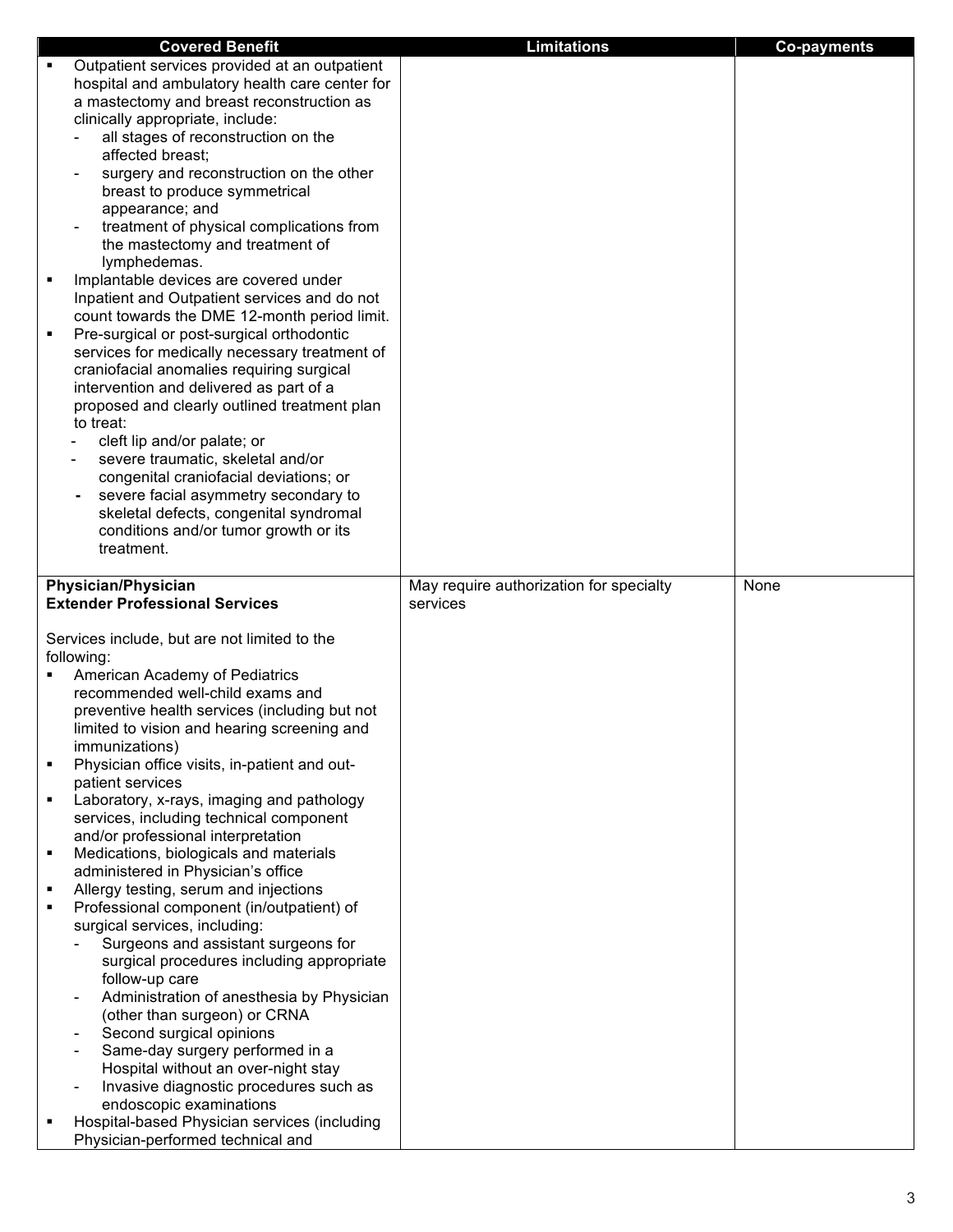| <b>Covered Benefit</b>                                                                                                                                                                                                                                                                                                                                                                                                                                                                                                                                                                                                                                                                                                                                                                                                                                                                                                                                                                                                                                                                            | <b>Limitations</b>                      | <b>Co-payments</b> |
|---------------------------------------------------------------------------------------------------------------------------------------------------------------------------------------------------------------------------------------------------------------------------------------------------------------------------------------------------------------------------------------------------------------------------------------------------------------------------------------------------------------------------------------------------------------------------------------------------------------------------------------------------------------------------------------------------------------------------------------------------------------------------------------------------------------------------------------------------------------------------------------------------------------------------------------------------------------------------------------------------------------------------------------------------------------------------------------------------|-----------------------------------------|--------------------|
| Outpatient services provided at an outpatient<br>hospital and ambulatory health care center for<br>a mastectomy and breast reconstruction as<br>clinically appropriate, include:<br>all stages of reconstruction on the<br>affected breast;<br>surgery and reconstruction on the other<br>breast to produce symmetrical<br>appearance; and<br>treatment of physical complications from<br>the mastectomy and treatment of<br>lymphedemas.<br>Implantable devices are covered under<br>Inpatient and Outpatient services and do not<br>count towards the DME 12-month period limit.<br>Pre-surgical or post-surgical orthodontic<br>٠<br>services for medically necessary treatment of<br>craniofacial anomalies requiring surgical<br>intervention and delivered as part of a<br>proposed and clearly outlined treatment plan<br>to treat:<br>cleft lip and/or palate; or<br>severe traumatic, skeletal and/or<br>congenital craniofacial deviations; or<br>severe facial asymmetry secondary to<br>skeletal defects, congenital syndromal<br>conditions and/or tumor growth or its<br>treatment. |                                         |                    |
|                                                                                                                                                                                                                                                                                                                                                                                                                                                                                                                                                                                                                                                                                                                                                                                                                                                                                                                                                                                                                                                                                                   |                                         |                    |
| <b>Physician/Physician</b>                                                                                                                                                                                                                                                                                                                                                                                                                                                                                                                                                                                                                                                                                                                                                                                                                                                                                                                                                                                                                                                                        | May require authorization for specialty | None               |
| <b>Extender Professional Services</b><br>Services include, but are not limited to the                                                                                                                                                                                                                                                                                                                                                                                                                                                                                                                                                                                                                                                                                                                                                                                                                                                                                                                                                                                                             | services                                |                    |
| following:                                                                                                                                                                                                                                                                                                                                                                                                                                                                                                                                                                                                                                                                                                                                                                                                                                                                                                                                                                                                                                                                                        |                                         |                    |
| <b>American Academy of Pediatrics</b><br>recommended well-child exams and<br>preventive health services (including but not<br>limited to vision and hearing screening and<br>immunizations)                                                                                                                                                                                                                                                                                                                                                                                                                                                                                                                                                                                                                                                                                                                                                                                                                                                                                                       |                                         |                    |
| Physician office visits, in-patient and out-<br>patient services                                                                                                                                                                                                                                                                                                                                                                                                                                                                                                                                                                                                                                                                                                                                                                                                                                                                                                                                                                                                                                  |                                         |                    |
| Laboratory, x-rays, imaging and pathology<br>services, including technical component                                                                                                                                                                                                                                                                                                                                                                                                                                                                                                                                                                                                                                                                                                                                                                                                                                                                                                                                                                                                              |                                         |                    |
| and/or professional interpretation<br>Medications, biologicals and materials                                                                                                                                                                                                                                                                                                                                                                                                                                                                                                                                                                                                                                                                                                                                                                                                                                                                                                                                                                                                                      |                                         |                    |
| administered in Physician's office<br>Allergy testing, serum and injections<br>Professional component (in/outpatient) of                                                                                                                                                                                                                                                                                                                                                                                                                                                                                                                                                                                                                                                                                                                                                                                                                                                                                                                                                                          |                                         |                    |
| surgical services, including:<br>Surgeons and assistant surgeons for<br>surgical procedures including appropriate<br>follow-up care<br>Administration of anesthesia by Physician                                                                                                                                                                                                                                                                                                                                                                                                                                                                                                                                                                                                                                                                                                                                                                                                                                                                                                                  |                                         |                    |
| (other than surgeon) or CRNA<br>Second surgical opinions<br>Same-day surgery performed in a<br>Hospital without an over-night stay                                                                                                                                                                                                                                                                                                                                                                                                                                                                                                                                                                                                                                                                                                                                                                                                                                                                                                                                                                |                                         |                    |
| Invasive diagnostic procedures such as<br>endoscopic examinations<br>Hospital-based Physician services (including                                                                                                                                                                                                                                                                                                                                                                                                                                                                                                                                                                                                                                                                                                                                                                                                                                                                                                                                                                                 |                                         |                    |
| Physician-performed technical and                                                                                                                                                                                                                                                                                                                                                                                                                                                                                                                                                                                                                                                                                                                                                                                                                                                                                                                                                                                                                                                                 |                                         |                    |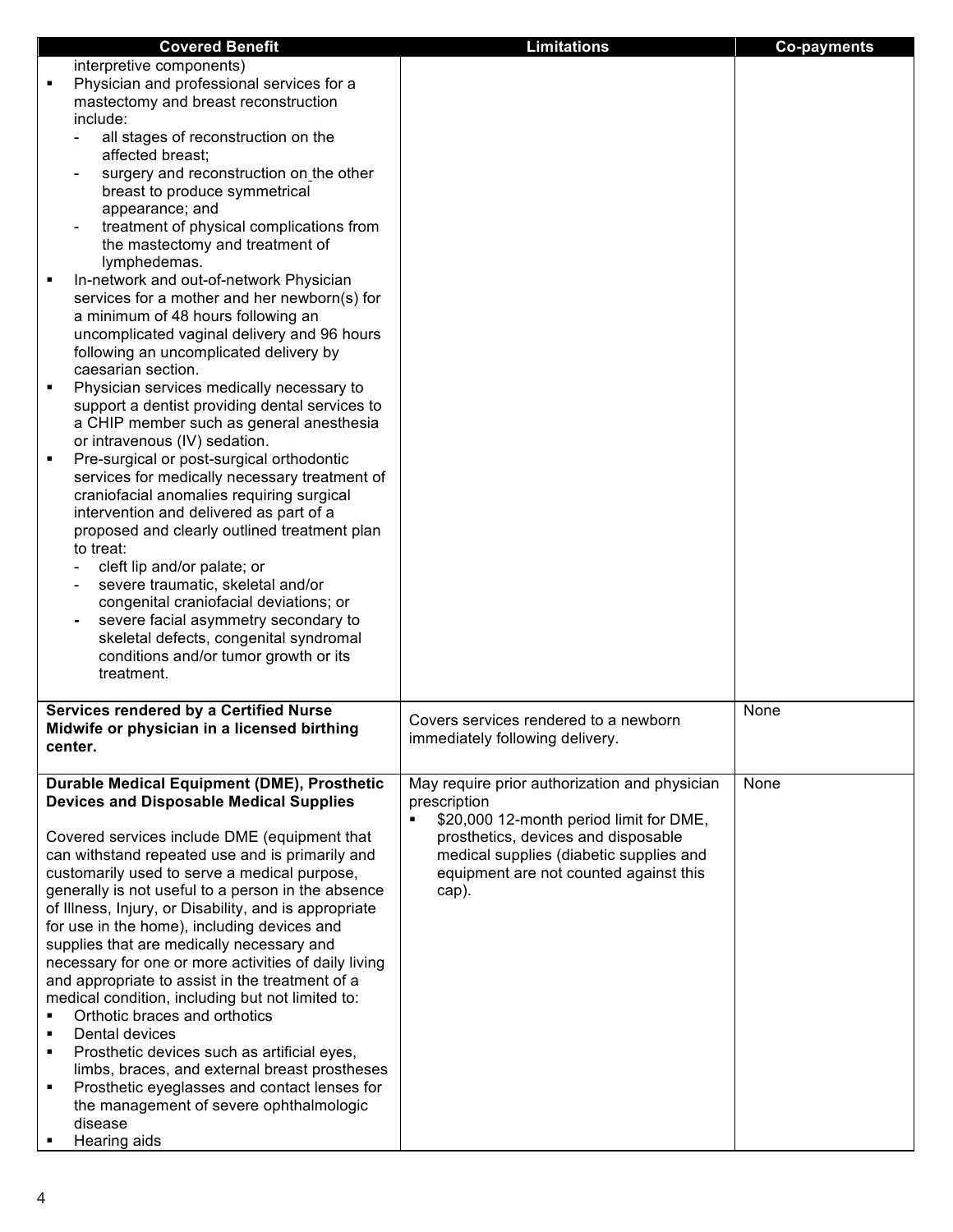| <b>Covered Benefit</b>                                                                                  | <b>Limitations</b>                                                             | <b>Co-payments</b> |
|---------------------------------------------------------------------------------------------------------|--------------------------------------------------------------------------------|--------------------|
| interpretive components)                                                                                |                                                                                |                    |
| Physician and professional services for a<br>$\blacksquare$                                             |                                                                                |                    |
| mastectomy and breast reconstruction                                                                    |                                                                                |                    |
| include:                                                                                                |                                                                                |                    |
| all stages of reconstruction on the<br>affected breast;                                                 |                                                                                |                    |
| surgery and reconstruction on the other                                                                 |                                                                                |                    |
| breast to produce symmetrical                                                                           |                                                                                |                    |
| appearance; and                                                                                         |                                                                                |                    |
| treatment of physical complications from                                                                |                                                                                |                    |
| the mastectomy and treatment of                                                                         |                                                                                |                    |
| lymphedemas.<br>In-network and out-of-network Physician                                                 |                                                                                |                    |
| services for a mother and her newborn(s) for                                                            |                                                                                |                    |
| a minimum of 48 hours following an                                                                      |                                                                                |                    |
| uncomplicated vaginal delivery and 96 hours                                                             |                                                                                |                    |
| following an uncomplicated delivery by                                                                  |                                                                                |                    |
| caesarian section.<br>Physician services medically necessary to                                         |                                                                                |                    |
| support a dentist providing dental services to                                                          |                                                                                |                    |
| a CHIP member such as general anesthesia                                                                |                                                                                |                    |
| or intravenous (IV) sedation.                                                                           |                                                                                |                    |
| Pre-surgical or post-surgical orthodontic<br>٠                                                          |                                                                                |                    |
| services for medically necessary treatment of                                                           |                                                                                |                    |
| craniofacial anomalies requiring surgical<br>intervention and delivered as part of a                    |                                                                                |                    |
| proposed and clearly outlined treatment plan                                                            |                                                                                |                    |
| to treat:                                                                                               |                                                                                |                    |
| cleft lip and/or palate; or                                                                             |                                                                                |                    |
| severe traumatic, skeletal and/or                                                                       |                                                                                |                    |
| congenital craniofacial deviations; or                                                                  |                                                                                |                    |
| severe facial asymmetry secondary to<br>skeletal defects, congenital syndromal                          |                                                                                |                    |
| conditions and/or tumor growth or its                                                                   |                                                                                |                    |
| treatment.                                                                                              |                                                                                |                    |
|                                                                                                         |                                                                                |                    |
| <b>Services rendered by a Certified Nurse</b>                                                           | Covers services rendered to a newborn                                          | None               |
| Midwife or physician in a licensed birthing<br>center.                                                  | immediately following delivery.                                                |                    |
|                                                                                                         |                                                                                |                    |
| <b>Durable Medical Equipment (DME), Prosthetic</b>                                                      | May require prior authorization and physician                                  | None               |
| <b>Devices and Disposable Medical Supplies</b>                                                          | prescription                                                                   |                    |
|                                                                                                         | $\blacksquare$<br>\$20,000 12-month period limit for DME,                      |                    |
| Covered services include DME (equipment that<br>can withstand repeated use and is primarily and         | prosthetics, devices and disposable<br>medical supplies (diabetic supplies and |                    |
| customarily used to serve a medical purpose,                                                            | equipment are not counted against this                                         |                    |
| generally is not useful to a person in the absence                                                      | cap).                                                                          |                    |
| of Illness, Injury, or Disability, and is appropriate                                                   |                                                                                |                    |
| for use in the home), including devices and                                                             |                                                                                |                    |
| supplies that are medically necessary and                                                               |                                                                                |                    |
| necessary for one or more activities of daily living<br>and appropriate to assist in the treatment of a |                                                                                |                    |
| medical condition, including but not limited to:                                                        |                                                                                |                    |
| Orthotic braces and orthotics<br>٠                                                                      |                                                                                |                    |
| Dental devices<br>٠                                                                                     |                                                                                |                    |
| Prosthetic devices such as artificial eyes,<br>٠                                                        |                                                                                |                    |
| limbs, braces, and external breast prostheses<br>Prosthetic eyeglasses and contact lenses for<br>٠      |                                                                                |                    |
| the management of severe ophthalmologic                                                                 |                                                                                |                    |
| disease                                                                                                 |                                                                                |                    |
| Hearing aids                                                                                            |                                                                                |                    |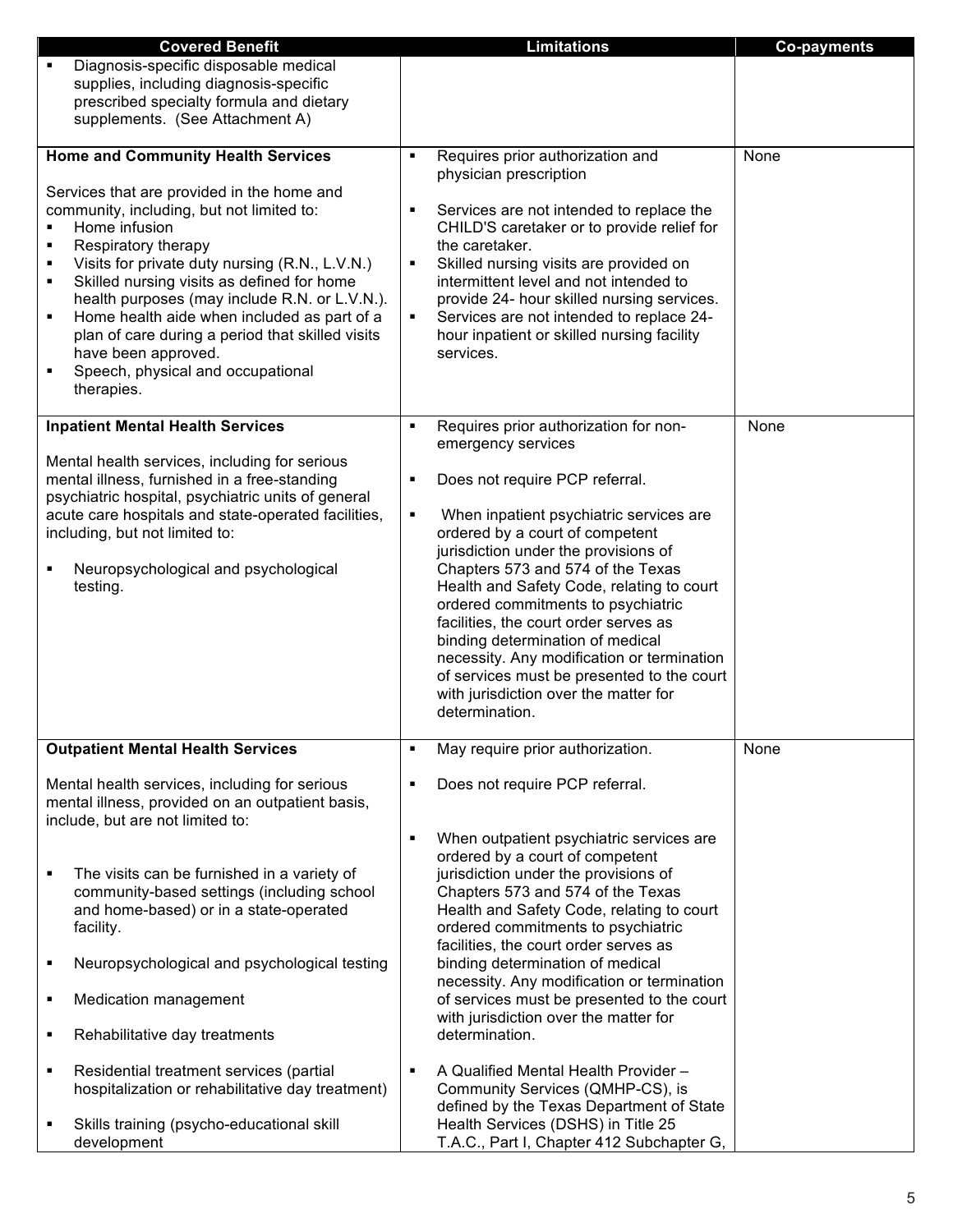| <b>Covered Benefit</b>                                                                                                                                                                                                                                                                                                                                                                                                                                                       | <b>Limitations</b>                                                                                                                                                                                                                                                                                                                                                                                                                                                                                                                                            | <b>Co-payments</b> |
|------------------------------------------------------------------------------------------------------------------------------------------------------------------------------------------------------------------------------------------------------------------------------------------------------------------------------------------------------------------------------------------------------------------------------------------------------------------------------|---------------------------------------------------------------------------------------------------------------------------------------------------------------------------------------------------------------------------------------------------------------------------------------------------------------------------------------------------------------------------------------------------------------------------------------------------------------------------------------------------------------------------------------------------------------|--------------------|
| Diagnosis-specific disposable medical<br>٠<br>supplies, including diagnosis-specific<br>prescribed specialty formula and dietary<br>supplements. (See Attachment A)                                                                                                                                                                                                                                                                                                          |                                                                                                                                                                                                                                                                                                                                                                                                                                                                                                                                                               |                    |
| <b>Home and Community Health Services</b>                                                                                                                                                                                                                                                                                                                                                                                                                                    | Requires prior authorization and                                                                                                                                                                                                                                                                                                                                                                                                                                                                                                                              | None               |
| Services that are provided in the home and<br>community, including, but not limited to:<br>Home infusion<br>Respiratory therapy<br>Visits for private duty nursing (R.N., L.V.N.)<br>٠<br>Skilled nursing visits as defined for home<br>٠<br>health purposes (may include R.N. or L.V.N.).<br>Home health aide when included as part of a<br>٠<br>plan of care during a period that skilled visits<br>have been approved.<br>Speech, physical and occupational<br>therapies. | physician prescription<br>Services are not intended to replace the<br>٠<br>CHILD'S caretaker or to provide relief for<br>the caretaker.<br>Skilled nursing visits are provided on<br>$\blacksquare$<br>intermittent level and not intended to<br>provide 24- hour skilled nursing services.<br>Services are not intended to replace 24-<br>٠<br>hour inpatient or skilled nursing facility<br>services.                                                                                                                                                       |                    |
| <b>Inpatient Mental Health Services</b>                                                                                                                                                                                                                                                                                                                                                                                                                                      | Requires prior authorization for non-<br>$\blacksquare$                                                                                                                                                                                                                                                                                                                                                                                                                                                                                                       | None               |
| Mental health services, including for serious<br>mental illness, furnished in a free-standing<br>psychiatric hospital, psychiatric units of general<br>acute care hospitals and state-operated facilities,<br>including, but not limited to:<br>Neuropsychological and psychological<br>testing.                                                                                                                                                                             | emergency services<br>Does not require PCP referral.<br>٠<br>$\blacksquare$<br>When inpatient psychiatric services are<br>ordered by a court of competent<br>jurisdiction under the provisions of<br>Chapters 573 and 574 of the Texas<br>Health and Safety Code, relating to court<br>ordered commitments to psychiatric<br>facilities, the court order serves as<br>binding determination of medical<br>necessity. Any modification or termination<br>of services must be presented to the court<br>with jurisdiction over the matter for<br>determination. |                    |
| <b>Outpatient Mental Health Services</b>                                                                                                                                                                                                                                                                                                                                                                                                                                     | May require prior authorization.<br>٠                                                                                                                                                                                                                                                                                                                                                                                                                                                                                                                         | None               |
| Mental health services, including for serious<br>mental illness, provided on an outpatient basis,<br>include, but are not limited to:                                                                                                                                                                                                                                                                                                                                        | Does not require PCP referral.<br>When outpatient psychiatric services are                                                                                                                                                                                                                                                                                                                                                                                                                                                                                    |                    |
| The visits can be furnished in a variety of<br>community-based settings (including school<br>and home-based) or in a state-operated<br>facility.                                                                                                                                                                                                                                                                                                                             | ordered by a court of competent<br>jurisdiction under the provisions of<br>Chapters 573 and 574 of the Texas<br>Health and Safety Code, relating to court<br>ordered commitments to psychiatric<br>facilities, the court order serves as                                                                                                                                                                                                                                                                                                                      |                    |
| Neuropsychological and psychological testing                                                                                                                                                                                                                                                                                                                                                                                                                                 | binding determination of medical                                                                                                                                                                                                                                                                                                                                                                                                                                                                                                                              |                    |
| Medication management                                                                                                                                                                                                                                                                                                                                                                                                                                                        | necessity. Any modification or termination<br>of services must be presented to the court                                                                                                                                                                                                                                                                                                                                                                                                                                                                      |                    |
| Rehabilitative day treatments<br>٠                                                                                                                                                                                                                                                                                                                                                                                                                                           | with jurisdiction over the matter for<br>determination.                                                                                                                                                                                                                                                                                                                                                                                                                                                                                                       |                    |
| Residential treatment services (partial<br>٠<br>hospitalization or rehabilitative day treatment)                                                                                                                                                                                                                                                                                                                                                                             | A Qualified Mental Health Provider -<br>٠<br>Community Services (QMHP-CS), is<br>defined by the Texas Department of State                                                                                                                                                                                                                                                                                                                                                                                                                                     |                    |
| Skills training (psycho-educational skill<br>development                                                                                                                                                                                                                                                                                                                                                                                                                     | Health Services (DSHS) in Title 25<br>T.A.C., Part I, Chapter 412 Subchapter G,                                                                                                                                                                                                                                                                                                                                                                                                                                                                               |                    |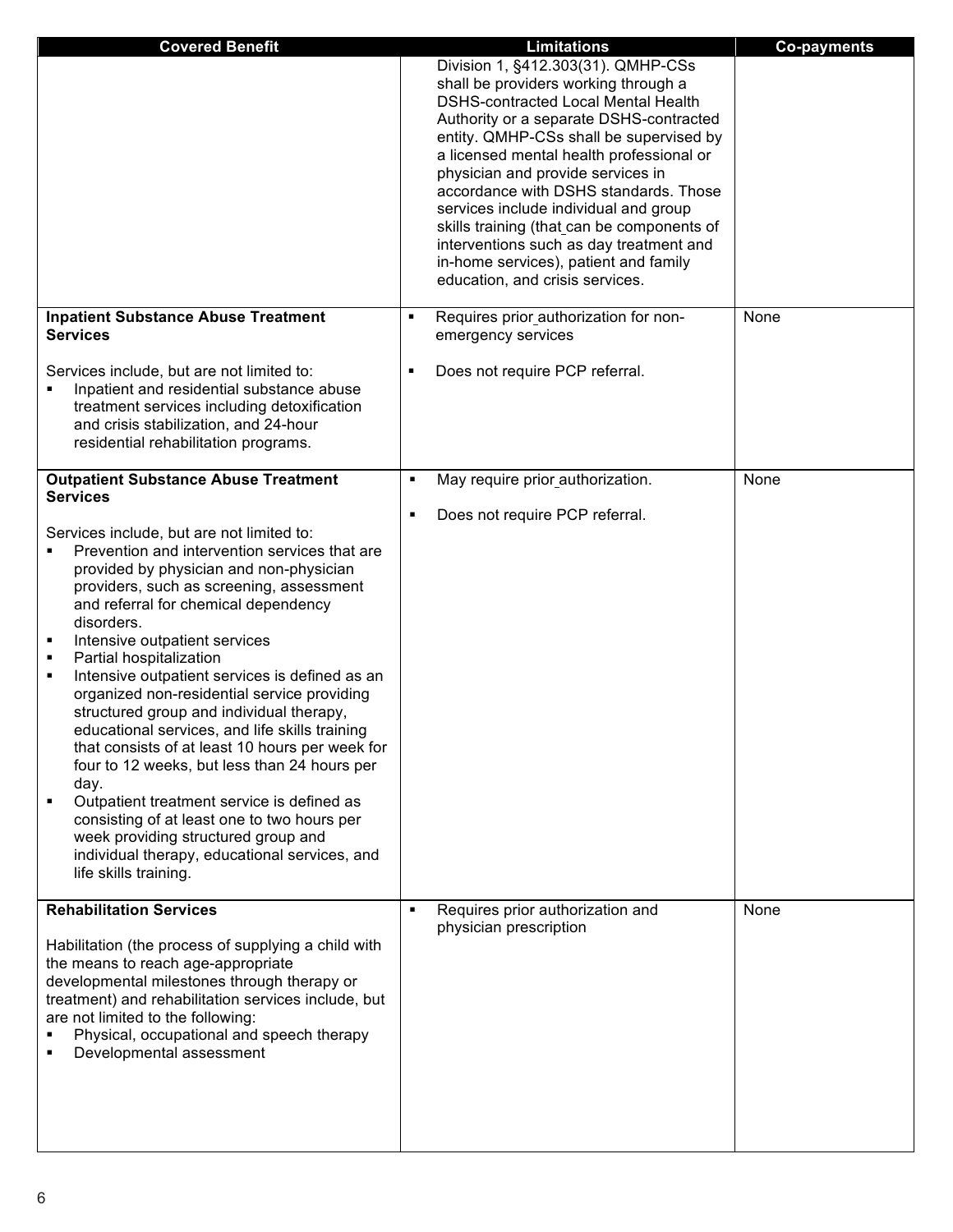| <b>Covered Benefit</b>                                                                                                                                                                                                                                                                                                                                                                                                                                                                                                                                                                                                                                                                                                                                                                                                                                        | <b>Limitations</b>                                                                                                                                                                                                                                                                                                                                                                                                                                                                                                                              | <b>Co-payments</b> |
|---------------------------------------------------------------------------------------------------------------------------------------------------------------------------------------------------------------------------------------------------------------------------------------------------------------------------------------------------------------------------------------------------------------------------------------------------------------------------------------------------------------------------------------------------------------------------------------------------------------------------------------------------------------------------------------------------------------------------------------------------------------------------------------------------------------------------------------------------------------|-------------------------------------------------------------------------------------------------------------------------------------------------------------------------------------------------------------------------------------------------------------------------------------------------------------------------------------------------------------------------------------------------------------------------------------------------------------------------------------------------------------------------------------------------|--------------------|
|                                                                                                                                                                                                                                                                                                                                                                                                                                                                                                                                                                                                                                                                                                                                                                                                                                                               | Division 1, §412.303(31). QMHP-CSs<br>shall be providers working through a<br>DSHS-contracted Local Mental Health<br>Authority or a separate DSHS-contracted<br>entity. QMHP-CSs shall be supervised by<br>a licensed mental health professional or<br>physician and provide services in<br>accordance with DSHS standards. Those<br>services include individual and group<br>skills training (that can be components of<br>interventions such as day treatment and<br>in-home services), patient and family<br>education, and crisis services. |                    |
| <b>Inpatient Substance Abuse Treatment</b><br><b>Services</b>                                                                                                                                                                                                                                                                                                                                                                                                                                                                                                                                                                                                                                                                                                                                                                                                 | Requires prior authorization for non-<br>٠<br>emergency services                                                                                                                                                                                                                                                                                                                                                                                                                                                                                | None               |
| Services include, but are not limited to:<br>Inpatient and residential substance abuse<br>treatment services including detoxification<br>and crisis stabilization, and 24-hour<br>residential rehabilitation programs.                                                                                                                                                                                                                                                                                                                                                                                                                                                                                                                                                                                                                                        | Does not require PCP referral.<br>٠                                                                                                                                                                                                                                                                                                                                                                                                                                                                                                             |                    |
| <b>Outpatient Substance Abuse Treatment</b>                                                                                                                                                                                                                                                                                                                                                                                                                                                                                                                                                                                                                                                                                                                                                                                                                   | May require prior authorization.<br>٠                                                                                                                                                                                                                                                                                                                                                                                                                                                                                                           | None               |
| <b>Services</b><br>Services include, but are not limited to:<br>Prevention and intervention services that are<br>provided by physician and non-physician<br>providers, such as screening, assessment<br>and referral for chemical dependency<br>disorders.<br>Intensive outpatient services<br>٠<br>Partial hospitalization<br>٠<br>Intensive outpatient services is defined as an<br>٠<br>organized non-residential service providing<br>structured group and individual therapy,<br>educational services, and life skills training<br>that consists of at least 10 hours per week for<br>four to 12 weeks, but less than 24 hours per<br>day.<br>Outpatient treatment service is defined as<br>consisting of at least one to two hours per<br>week providing structured group and<br>individual therapy, educational services, and<br>life skills training. | Does not require PCP referral.<br>٠                                                                                                                                                                                                                                                                                                                                                                                                                                                                                                             |                    |
| <b>Rehabilitation Services</b><br>Habilitation (the process of supplying a child with<br>the means to reach age-appropriate<br>developmental milestones through therapy or<br>treatment) and rehabilitation services include, but<br>are not limited to the following:<br>Physical, occupational and speech therapy<br>Developmental assessment                                                                                                                                                                                                                                                                                                                                                                                                                                                                                                               | Requires prior authorization and<br>physician prescription                                                                                                                                                                                                                                                                                                                                                                                                                                                                                      | None               |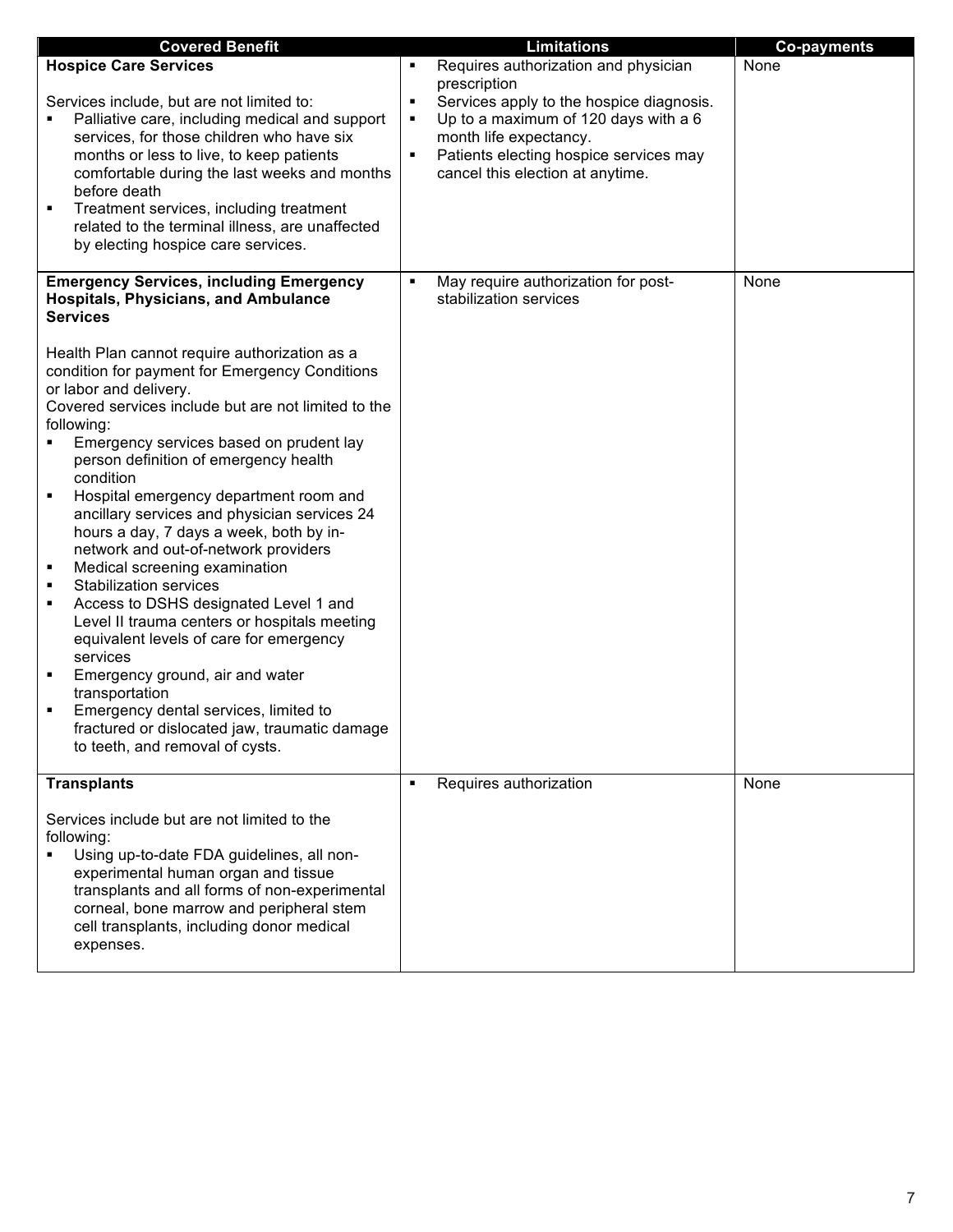| <b>Covered Benefit</b>                                                                                                                                                                                                                                                                                                                                                                                                                                                                                                                                                                                                                                                                                                                                                                                                                                                                                    |                          | <b>Limitations</b>                                                                                                                                                                       | <b>Co-payments</b> |
|-----------------------------------------------------------------------------------------------------------------------------------------------------------------------------------------------------------------------------------------------------------------------------------------------------------------------------------------------------------------------------------------------------------------------------------------------------------------------------------------------------------------------------------------------------------------------------------------------------------------------------------------------------------------------------------------------------------------------------------------------------------------------------------------------------------------------------------------------------------------------------------------------------------|--------------------------|------------------------------------------------------------------------------------------------------------------------------------------------------------------------------------------|--------------------|
| <b>Hospice Care Services</b>                                                                                                                                                                                                                                                                                                                                                                                                                                                                                                                                                                                                                                                                                                                                                                                                                                                                              |                          | Requires authorization and physician<br>prescription                                                                                                                                     | None               |
| Services include, but are not limited to:<br>Palliative care, including medical and support<br>services, for those children who have six<br>months or less to live, to keep patients<br>comfortable during the last weeks and months<br>before death<br>Treatment services, including treatment<br>related to the terminal illness, are unaffected<br>by electing hospice care services.                                                                                                                                                                                                                                                                                                                                                                                                                                                                                                                  | ٠<br>٠<br>$\blacksquare$ | Services apply to the hospice diagnosis.<br>Up to a maximum of 120 days with a 6<br>month life expectancy.<br>Patients electing hospice services may<br>cancel this election at anytime. |                    |
| <b>Emergency Services, including Emergency</b><br><b>Hospitals, Physicians, and Ambulance</b><br><b>Services</b>                                                                                                                                                                                                                                                                                                                                                                                                                                                                                                                                                                                                                                                                                                                                                                                          | ٠                        | May require authorization for post-<br>stabilization services                                                                                                                            | None               |
| Health Plan cannot require authorization as a<br>condition for payment for Emergency Conditions<br>or labor and delivery.<br>Covered services include but are not limited to the<br>following:<br>Emergency services based on prudent lay<br>person definition of emergency health<br>condition<br>Hospital emergency department room and<br>٠<br>ancillary services and physician services 24<br>hours a day, 7 days a week, both by in-<br>network and out-of-network providers<br>Medical screening examination<br>٠<br><b>Stabilization services</b><br>٠<br>Access to DSHS designated Level 1 and<br>٠<br>Level II trauma centers or hospitals meeting<br>equivalent levels of care for emergency<br>services<br>Emergency ground, air and water<br>п<br>transportation<br>Emergency dental services, limited to<br>fractured or dislocated jaw, traumatic damage<br>to teeth, and removal of cysts. |                          |                                                                                                                                                                                          |                    |
| <b>Transplants</b><br>Services include but are not limited to the<br>following:<br>Using up-to-date FDA guidelines, all non-<br>experimental human organ and tissue<br>transplants and all forms of non-experimental<br>corneal, bone marrow and peripheral stem<br>cell transplants, including donor medical<br>expenses.                                                                                                                                                                                                                                                                                                                                                                                                                                                                                                                                                                                |                          | Requires authorization                                                                                                                                                                   | None               |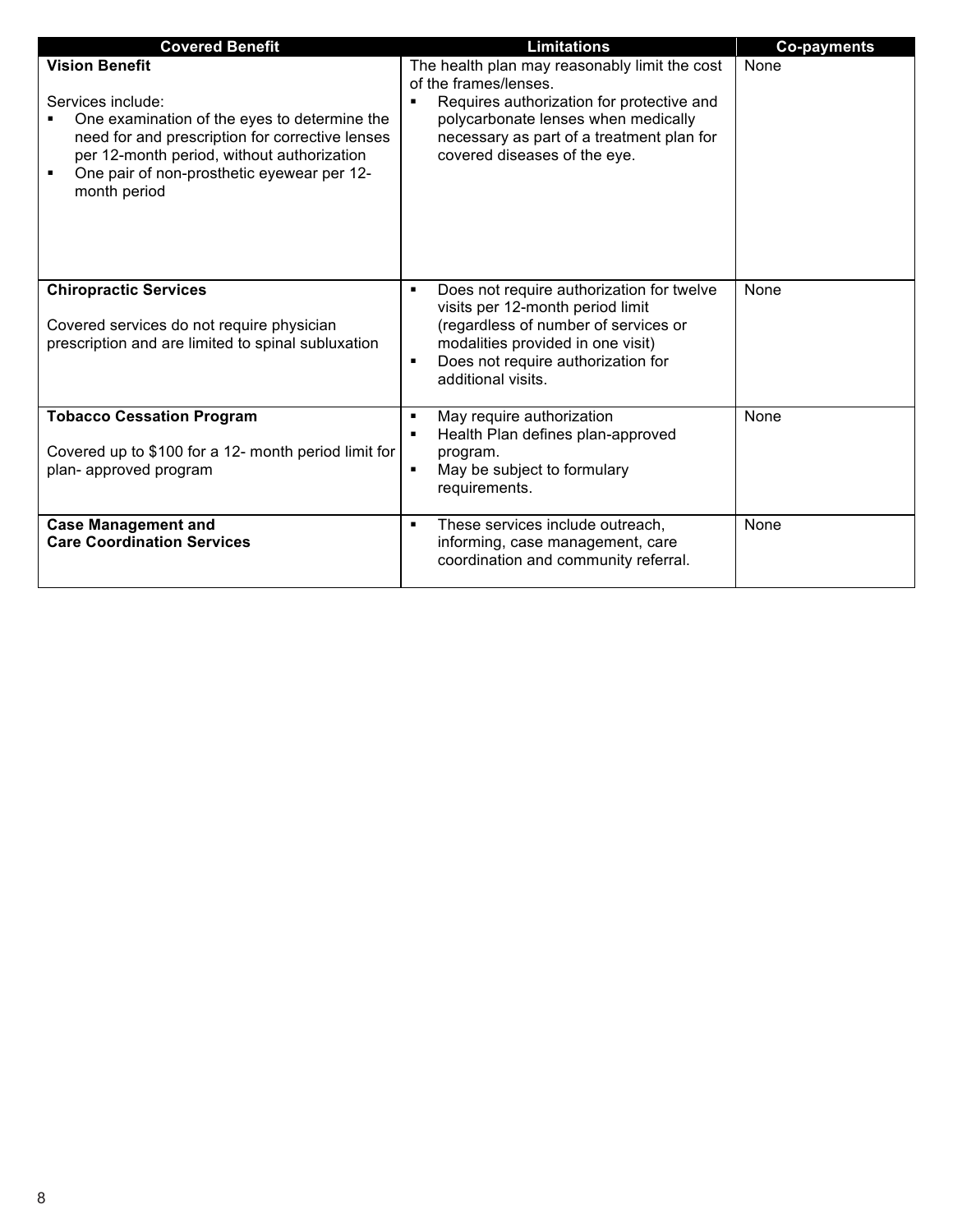| <b>Covered Benefit</b>                                                                                                                                                                                                                                         | <b>Limitations</b>                                                                                                                                                                                                                           | <b>Co-payments</b> |
|----------------------------------------------------------------------------------------------------------------------------------------------------------------------------------------------------------------------------------------------------------------|----------------------------------------------------------------------------------------------------------------------------------------------------------------------------------------------------------------------------------------------|--------------------|
| <b>Vision Benefit</b><br>Services include:<br>One examination of the eyes to determine the<br>need for and prescription for corrective lenses<br>per 12-month period, without authorization<br>One pair of non-prosthetic eyewear per 12-<br>٠<br>month period | The health plan may reasonably limit the cost<br>of the frames/lenses.<br>Requires authorization for protective and<br>٠<br>polycarbonate lenses when medically<br>necessary as part of a treatment plan for<br>covered diseases of the eye. | None               |
| <b>Chiropractic Services</b><br>Covered services do not require physician<br>prescription and are limited to spinal subluxation                                                                                                                                | Does not require authorization for twelve<br>٠<br>visits per 12-month period limit<br>(regardless of number of services or<br>modalities provided in one visit)<br>Does not require authorization for<br>٠<br>additional visits.             | None               |
| <b>Tobacco Cessation Program</b><br>Covered up to \$100 for a 12- month period limit for<br>plan- approved program                                                                                                                                             | May require authorization<br>٠<br>Health Plan defines plan-approved<br>٠<br>program.<br>May be subject to formulary<br>٠<br>requirements.                                                                                                    | None               |
| <b>Case Management and</b><br><b>Care Coordination Services</b>                                                                                                                                                                                                | These services include outreach,<br>٠<br>informing, case management, care<br>coordination and community referral.                                                                                                                            | None               |